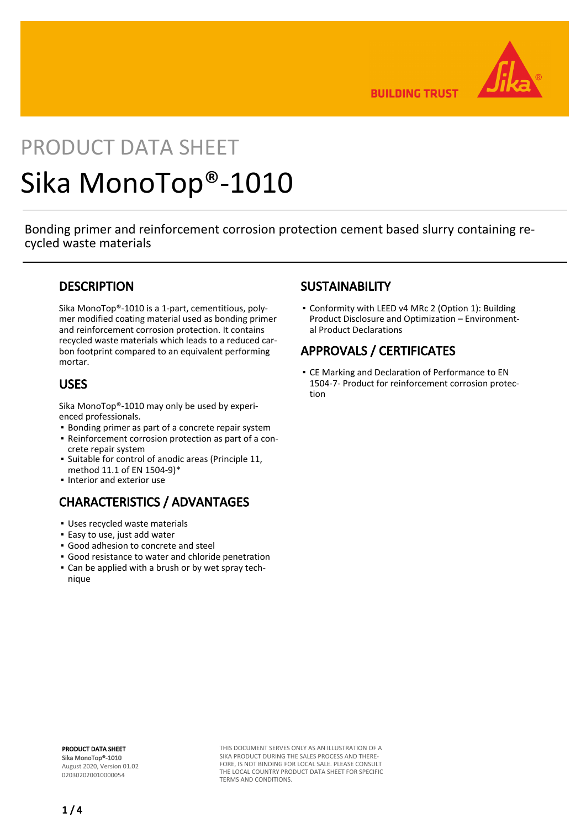

**BUILDING TRUST** 

# PRODUCT DATA SHEET Sika MonoTop®-1010

Bonding primer and reinforcement corrosion protection cement based slurry containing recycled waste materials

## **DESCRIPTION**

Sika MonoTop®-1010 is a 1-part, cementitious, polymer modified coating material used as bonding primer and reinforcement corrosion protection. It contains recycled waste materials which leads to a reduced carbon footprint compared to an equivalent performing mortar.

## USES

Sika MonoTop®-1010 may only be used by experienced professionals.

- Bonding primer as part of a concrete repair system
- Reinforcement corrosion protection as part of a con-▪ crete repair system
- Suitable for control of anodic areas (Principle 11, method 11.1 of EN 1504-9)\*
- Interior and exterior use

## CHARACTERISTICS / ADVANTAGES

- Uses recycled waste materials
- Easy to use, just add water
- Good adhesion to concrete and steel
- Good resistance to water and chloride penetration
- Can be applied with a brush or by wet spray tech-▪ nique

## **SUSTAINABILITY**

• Conformity with LEED v4 MRc 2 (Option 1): Building Product Disclosure and Optimization – Environmental Product Declarations

## APPROVALS / CERTIFICATES

CE Marking and Declaration of Performance to EN ▪ 1504-7- Product for reinforcement corrosion protection

PRODUCT DATA SHEET Sika MonoTop®-1010 August 2020, Version 01.02 020302020010000054

THIS DOCUMENT SERVES ONLY AS AN ILLUSTRATION OF A SIKA PRODUCT DURING THE SALES PROCESS AND THERE-FORE, IS NOT BINDING FOR LOCAL SALE. PLEASE CONSULT THE LOCAL COUNTRY PRODUCT DATA SHEET FOR SPECIFIC TERMS AND CONDITIONS.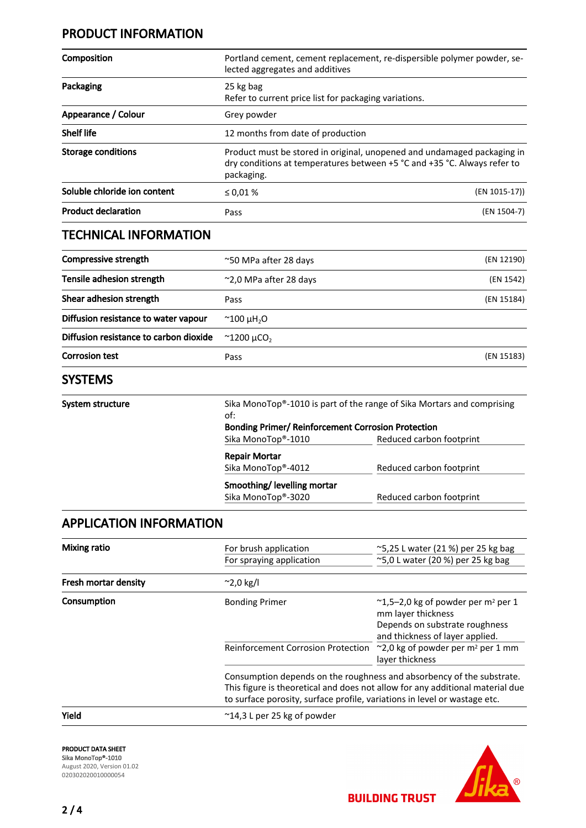## PRODUCT INFORMATION

| Composition                  | Portland cement, cement replacement, re-dispersible polymer powder, se-<br>lected aggregates and additives                                                        |               |
|------------------------------|-------------------------------------------------------------------------------------------------------------------------------------------------------------------|---------------|
| Packaging                    | 25 kg bag<br>Refer to current price list for packaging variations.                                                                                                |               |
| Appearance / Colour          | Grey powder                                                                                                                                                       |               |
| <b>Shelf life</b>            | 12 months from date of production                                                                                                                                 |               |
| <b>Storage conditions</b>    | Product must be stored in original, unopened and undamaged packaging in<br>dry conditions at temperatures between +5 °C and +35 °C. Always refer to<br>packaging. |               |
| Soluble chloride ion content | $\leq 0.01 \%$                                                                                                                                                    | (EN 1015-17)) |
| <b>Product declaration</b>   | Pass                                                                                                                                                              | (EN 1504-7)   |

## TECHNICAL INFORMATION

| Compressive strength                   | ~50 MPa after 28 days           | (EN 12190) |
|----------------------------------------|---------------------------------|------------|
| Tensile adhesion strength              | $\approx$ 2,0 MPa after 28 days | (EN 1542)  |
| Shear adhesion strength                | Pass                            | (EN 15184) |
| Diffusion resistance to water vapour   | $^{\sim}$ 100 µH <sub>2</sub> O |            |
| Diffusion resistance to carbon dioxide | $\approx$ 1200 µCO <sub>2</sub> |            |
| <b>Corrosion test</b>                  | Pass                            | (EN 15183) |
| <b>SYSTEMS</b>                         |                                 |            |

| System structure | of:                                              | Sika MonoTop®-1010 is part of the range of Sika Mortars and comprising<br><b>Bonding Primer/ Reinforcement Corrosion Protection</b> |  |
|------------------|--------------------------------------------------|-------------------------------------------------------------------------------------------------------------------------------------|--|
|                  | Sika MonoTop®-1010                               | Reduced carbon footprint                                                                                                            |  |
|                  | <b>Repair Mortar</b><br>Sika MonoTop®-4012       | Reduced carbon footprint                                                                                                            |  |
|                  | Smoothing/levelling mortar<br>Sika MonoTop®-3020 | Reduced carbon footprint                                                                                                            |  |

## APPLICATION INFORMATION

| <b>Mixing ratio</b>  | For brush application<br>For spraying application                                                                                                                                                                                   | $\approx$ 5,25 L water (21 %) per 25 kg bag<br>~5,0 L water (20 %) per 25 kg bag                                                                                                                                             |
|----------------------|-------------------------------------------------------------------------------------------------------------------------------------------------------------------------------------------------------------------------------------|------------------------------------------------------------------------------------------------------------------------------------------------------------------------------------------------------------------------------|
| Fresh mortar density | $^{\sim}$ 2,0 kg/l                                                                                                                                                                                                                  |                                                                                                                                                                                                                              |
| Consumption          | <b>Bonding Primer</b><br><b>Reinforcement Corrosion Protection</b>                                                                                                                                                                  | $\approx$ 1,5–2,0 kg of powder per m <sup>2</sup> per 1<br>mm layer thickness<br>Depends on substrate roughness<br>and thickness of layer applied.<br>$\sim$ 2,0 kg of powder per m <sup>2</sup> per 1 mm<br>layer thickness |
|                      | Consumption depends on the roughness and absorbency of the substrate.<br>This figure is theoretical and does not allow for any additional material due<br>to surface porosity, surface profile, variations in level or wastage etc. |                                                                                                                                                                                                                              |
| Yield                | $^{\sim}$ 14,3 L per 25 kg of powder                                                                                                                                                                                                |                                                                                                                                                                                                                              |



PRODUCT DATA SHEET Sika MonoTop®-1010

August 2020, Version 01.02 020302020010000054



**BUILDING TRUST**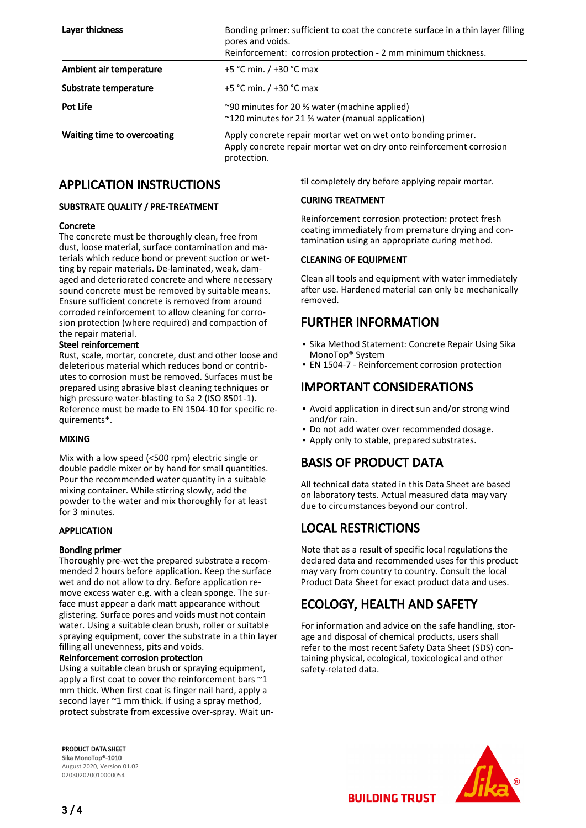| Layer thickness             | Bonding primer: sufficient to coat the concrete surface in a thin layer filling<br>pores and voids.<br>Reinforcement: corrosion protection - 2 mm minimum thickness. |  |
|-----------------------------|----------------------------------------------------------------------------------------------------------------------------------------------------------------------|--|
| Ambient air temperature     | +5 °C min. / +30 °C max                                                                                                                                              |  |
| Substrate temperature       | +5 °C min. / +30 °C max                                                                                                                                              |  |
| Pot Life                    | ~90 minutes for 20 % water (machine applied)<br>~120 minutes for 21 % water (manual application)                                                                     |  |
| Waiting time to overcoating | Apply concrete repair mortar wet on wet onto bonding primer.<br>Apply concrete repair mortar wet on dry onto reinforcement corrosion<br>protection.                  |  |

## APPLICATION INSTRUCTIONS

#### SUBSTRATE QUALITY / PRE-TREATMENT

#### Concrete

The concrete must be thoroughly clean, free from dust, loose material, surface contamination and materials which reduce bond or prevent suction or wetting by repair materials. De-laminated, weak, damaged and deteriorated concrete and where necessary sound concrete must be removed by suitable means. Ensure sufficient concrete is removed from around corroded reinforcement to allow cleaning for corrosion protection (where required) and compaction of the repair material.

#### Steel reinforcement

Rust, scale, mortar, concrete, dust and other loose and deleterious material which reduces bond or contributes to corrosion must be removed. Surfaces must be prepared using abrasive blast cleaning techniques or high pressure water-blasting to Sa 2 (ISO 8501-1). Reference must be made to EN 1504-10 for specific requirements\*.

#### MIXING

Mix with a low speed (<500 rpm) electric single or double paddle mixer or by hand for small quantities. Pour the recommended water quantity in a suitable mixing container. While stirring slowly, add the powder to the water and mix thoroughly for at least for 3 minutes.

#### APPLICATION

#### Bonding primer

Thoroughly pre-wet the prepared substrate a recommended 2 hours before application. Keep the surface wet and do not allow to dry. Before application remove excess water e.g. with a clean sponge. The surface must appear a dark matt appearance without glistering. Surface pores and voids must not contain water. Using a suitable clean brush, roller or suitable spraying equipment, cover the substrate in a thin layer filling all unevenness, pits and voids.

#### Reinforcement corrosion protection

Using a suitable clean brush or spraying equipment, apply a first coat to cover the reinforcement bars  $\sim$ 1 mm thick. When first coat is finger nail hard, apply a second layer ~1 mm thick. If using a spray method, protect substrate from excessive over-spray. Wait un-

PRODUCT DATA SHEET Sika MonoTop®-1010 August 2020, Version 01.02 020302020010000054

til completely dry before applying repair mortar.

### CURING TREATMENT

Reinforcement corrosion protection: protect fresh coating immediately from premature drying and contamination using an appropriate curing method.

#### CLEANING OF EQUIPMENT

Clean all tools and equipment with water immediately after use. Hardened material can only be mechanically removed.

## FURTHER INFORMATION

- Sika Method Statement: Concrete Repair Using Sika MonoTop® System
- **EN 1504-7 Reinforcement corrosion protection**

## IMPORTANT CONSIDERATIONS

- Avoid application in direct sun and/or strong wind and/or rain.
- Do not add water over recommended dosage.
- Apply only to stable, prepared substrates.

## BASIS OF PRODUCT DATA

All technical data stated in this Data Sheet are based on laboratory tests. Actual measured data may vary due to circumstances beyond our control.

## LOCAL RESTRICTIONS

Note that as a result of specific local regulations the declared data and recommended uses for this product may vary from country to country. Consult the local Product Data Sheet for exact product data and uses.

## ECOLOGY, HEALTH AND SAFETY

For information and advice on the safe handling, storage and disposal of chemical products, users shall refer to the most recent Safety Data Sheet (SDS) containing physical, ecological, toxicological and other safety-related data.



**BUILDING TRUST**